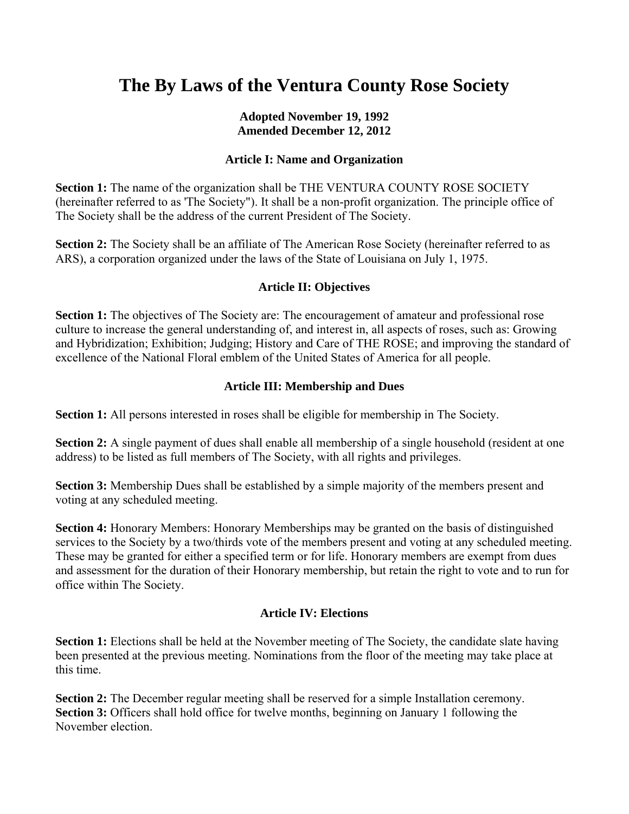# **The By Laws of the Ventura County Rose Society**

## **Adopted November 19, 1992 Amended December 12, 2012**

## **Article I: Name and Organization**

**Section 1:** The name of the organization shall be THE VENTURA COUNTY ROSE SOCIETY (hereinafter referred to as 'The Society"). It shall be a non-profit organization. The principle office of The Society shall be the address of the current President of The Society.

**Section 2:** The Society shall be an affiliate of The American Rose Society (hereinafter referred to as ARS), a corporation organized under the laws of the State of Louisiana on July 1, 1975.

## **Article II: Objectives**

**Section 1:** The objectives of The Society are: The encouragement of amateur and professional rose culture to increase the general understanding of, and interest in, all aspects of roses, such as: Growing and Hybridization; Exhibition; Judging; History and Care of THE ROSE; and improving the standard of excellence of the National Floral emblem of the United States of America for all people.

## **Article III: Membership and Dues**

**Section 1:** All persons interested in roses shall be eligible for membership in The Society.

**Section 2:** A single payment of dues shall enable all membership of a single household (resident at one address) to be listed as full members of The Society, with all rights and privileges.

**Section 3:** Membership Dues shall be established by a simple majority of the members present and voting at any scheduled meeting.

**Section 4:** Honorary Members: Honorary Memberships may be granted on the basis of distinguished services to the Society by a two/thirds vote of the members present and voting at any scheduled meeting. These may be granted for either a specified term or for life. Honorary members are exempt from dues and assessment for the duration of their Honorary membership, but retain the right to vote and to run for office within The Society.

#### **Article IV: Elections**

**Section 1:** Elections shall be held at the November meeting of The Society, the candidate slate having been presented at the previous meeting. Nominations from the floor of the meeting may take place at this time.

**Section 2:** The December regular meeting shall be reserved for a simple Installation ceremony. **Section 3:** Officers shall hold office for twelve months, beginning on January 1 following the November election.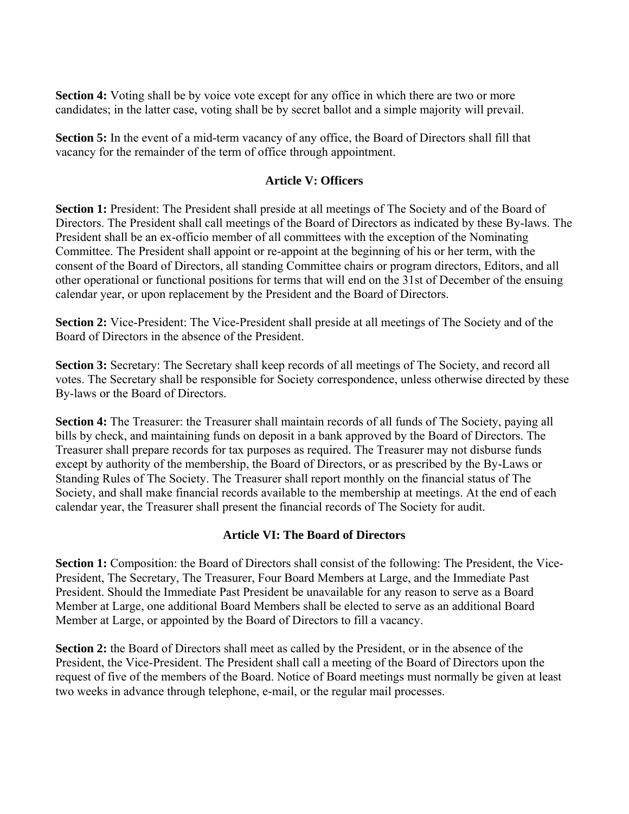**Section 4:** Voting shall be by voice vote except for any office in which there are two or more candidates; in the latter case, voting shall be by secret ballot and a simple majority will prevail.

**Section 5:** In the event of a mid-term vacancy of any office, the Board of Directors shall fill that vacancy for the remainder of the term of office through appointment.

## **Article V: Officers**

**Section 1:** President: The President shall preside at all meetings of The Society and of the Board of Directors. The President shall call meetings of the Board of Directors as indicated by these By-laws. The President shall be an ex-officio member of all committees with the exception of the Nominating Committee. The President shall appoint or re-appoint at the beginning of his or her term, with the consent of the Board of Directors, all standing Committee chairs or program directors, Editors, and all other operational or functional positions for terms that will end on the 31st of December of the ensuing calendar year, or upon replacement by the President and the Board of Directors.

**Section 2:** Vice-President: The Vice-President shall preside at all meetings of The Society and of the Board of Directors in the absence of the President.

**Section 3:** Secretary: The Secretary shall keep records of all meetings of The Society, and record all votes. The Secretary shall be responsible for Society correspondence, unless otherwise directed by these By-laws or the Board of Directors.

**Section 4:** The Treasurer: the Treasurer shall maintain records of all funds of The Society, paying all bills by check, and maintaining funds on deposit in a bank approved by the Board of Directors. The Treasurer shall prepare records for tax purposes as required. The Treasurer may not disburse funds except by authority of the membership, the Board of Directors, or as prescribed by the By-Laws or Standing Rules of The Society. The Treasurer shall report monthly on the financial status of The Society, and shall make financial records available to the membership at meetings. At the end of each calendar year, the Treasurer shall present the financial records of The Society for audit.

# **Article VI: The Board of Directors**

**Section 1:** Composition: the Board of Directors shall consist of the following: The President, the Vice-President, The Secretary, The Treasurer, Four Board Members at Large, and the Immediate Past President. Should the Immediate Past President be unavailable for any reason to serve as a Board Member at Large, one additional Board Members shall be elected to serve as an additional Board Member at Large, or appointed by the Board of Directors to fill a vacancy.

**Section 2:** the Board of Directors shall meet as called by the President, or in the absence of the President, the Vice-President. The President shall call a meeting of the Board of Directors upon the request of five of the members of the Board. Notice of Board meetings must normally be given at least two weeks in advance through telephone, e-mail, or the regular mail processes.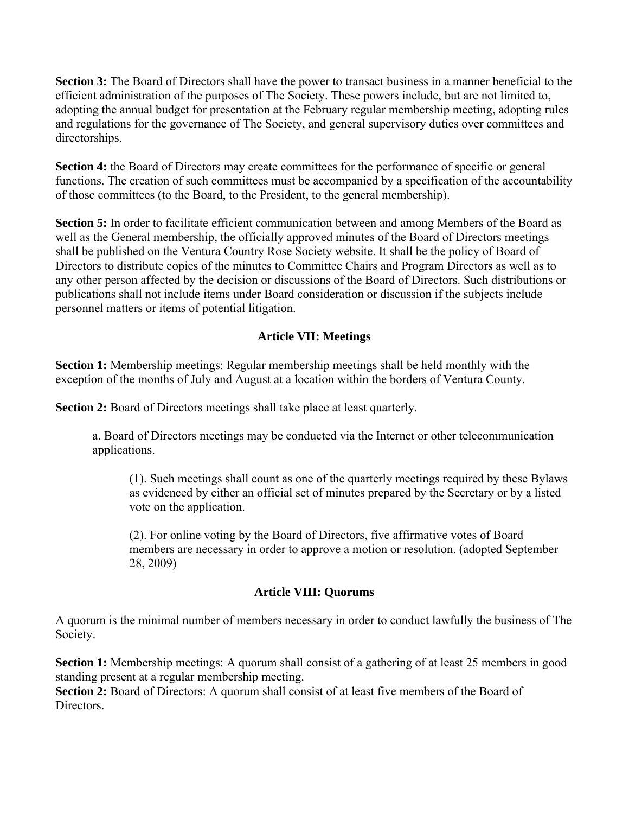**Section 3:** The Board of Directors shall have the power to transact business in a manner beneficial to the efficient administration of the purposes of The Society. These powers include, but are not limited to, adopting the annual budget for presentation at the February regular membership meeting, adopting rules and regulations for the governance of The Society, and general supervisory duties over committees and directorships.

**Section 4:** the Board of Directors may create committees for the performance of specific or general functions. The creation of such committees must be accompanied by a specification of the accountability of those committees (to the Board, to the President, to the general membership).

**Section 5:** In order to facilitate efficient communication between and among Members of the Board as well as the General membership, the officially approved minutes of the Board of Directors meetings shall be published on the Ventura Country Rose Society website. It shall be the policy of Board of Directors to distribute copies of the minutes to Committee Chairs and Program Directors as well as to any other person affected by the decision or discussions of the Board of Directors. Such distributions or publications shall not include items under Board consideration or discussion if the subjects include personnel matters or items of potential litigation.

# **Article VII: Meetings**

**Section 1:** Membership meetings: Regular membership meetings shall be held monthly with the exception of the months of July and August at a location within the borders of Ventura County.

**Section 2:** Board of Directors meetings shall take place at least quarterly.

a. Board of Directors meetings may be conducted via the Internet or other telecommunication applications.

(1). Such meetings shall count as one of the quarterly meetings required by these Bylaws as evidenced by either an official set of minutes prepared by the Secretary or by a listed vote on the application.

(2). For online voting by the Board of Directors, five affirmative votes of Board members are necessary in order to approve a motion or resolution. (adopted September 28, 2009)

## **Article VIII: Quorums**

A quorum is the minimal number of members necessary in order to conduct lawfully the business of The Society.

**Section 1:** Membership meetings: A quorum shall consist of a gathering of at least 25 members in good standing present at a regular membership meeting.

Section 2: Board of Directors: A quorum shall consist of at least five members of the Board of **Directors**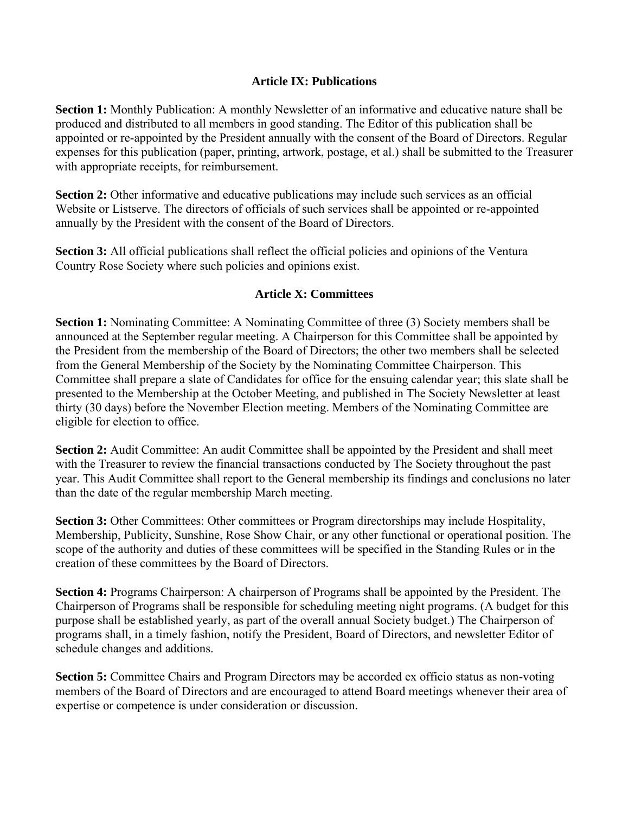## **Article IX: Publications**

**Section 1:** Monthly Publication: A monthly Newsletter of an informative and educative nature shall be produced and distributed to all members in good standing. The Editor of this publication shall be appointed or re-appointed by the President annually with the consent of the Board of Directors. Regular expenses for this publication (paper, printing, artwork, postage, et al.) shall be submitted to the Treasurer with appropriate receipts, for reimbursement.

**Section 2:** Other informative and educative publications may include such services as an official Website or Listserve. The directors of officials of such services shall be appointed or re-appointed annually by the President with the consent of the Board of Directors.

**Section 3:** All official publications shall reflect the official policies and opinions of the Ventura Country Rose Society where such policies and opinions exist.

## **Article X: Committees**

**Section 1:** Nominating Committee: A Nominating Committee of three (3) Society members shall be announced at the September regular meeting. A Chairperson for this Committee shall be appointed by the President from the membership of the Board of Directors; the other two members shall be selected from the General Membership of the Society by the Nominating Committee Chairperson. This Committee shall prepare a slate of Candidates for office for the ensuing calendar year; this slate shall be presented to the Membership at the October Meeting, and published in The Society Newsletter at least thirty (30 days) before the November Election meeting. Members of the Nominating Committee are eligible for election to office.

**Section 2:** Audit Committee: An audit Committee shall be appointed by the President and shall meet with the Treasurer to review the financial transactions conducted by The Society throughout the past year. This Audit Committee shall report to the General membership its findings and conclusions no later than the date of the regular membership March meeting.

**Section 3:** Other Committees: Other committees or Program directorships may include Hospitality, Membership, Publicity, Sunshine, Rose Show Chair, or any other functional or operational position. The scope of the authority and duties of these committees will be specified in the Standing Rules or in the creation of these committees by the Board of Directors.

**Section 4:** Programs Chairperson: A chairperson of Programs shall be appointed by the President. The Chairperson of Programs shall be responsible for scheduling meeting night programs. (A budget for this purpose shall be established yearly, as part of the overall annual Society budget.) The Chairperson of programs shall, in a timely fashion, notify the President, Board of Directors, and newsletter Editor of schedule changes and additions.

**Section 5:** Committee Chairs and Program Directors may be accorded ex officio status as non-voting members of the Board of Directors and are encouraged to attend Board meetings whenever their area of expertise or competence is under consideration or discussion.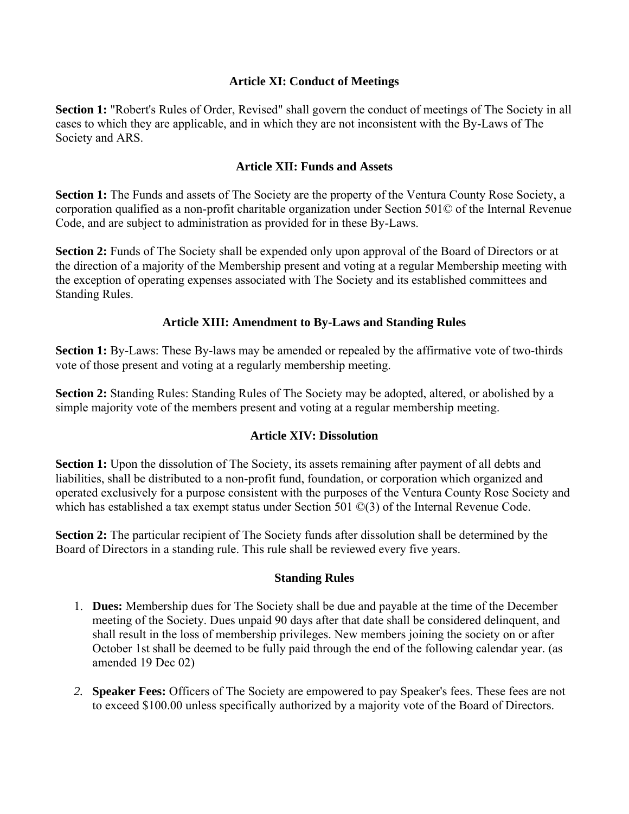## **Article XI: Conduct of Meetings**

**Section 1:** "Robert's Rules of Order, Revised" shall govern the conduct of meetings of The Society in all cases to which they are applicable, and in which they are not inconsistent with the By-Laws of The Society and ARS.

## **Article XII: Funds and Assets**

**Section 1:** The Funds and assets of The Society are the property of the Ventura County Rose Society, a corporation qualified as a non-profit charitable organization under Section 501© of the Internal Revenue Code, and are subject to administration as provided for in these By-Laws.

**Section 2:** Funds of The Society shall be expended only upon approval of the Board of Directors or at the direction of a majority of the Membership present and voting at a regular Membership meeting with the exception of operating expenses associated with The Society and its established committees and Standing Rules.

## **Article XIII: Amendment to By-Laws and Standing Rules**

**Section 1:** By-Laws: These By-laws may be amended or repealed by the affirmative vote of two-thirds vote of those present and voting at a regularly membership meeting.

**Section 2:** Standing Rules: Standing Rules of The Society may be adopted, altered, or abolished by a simple majority vote of the members present and voting at a regular membership meeting.

#### **Article XIV: Dissolution**

**Section 1:** Upon the dissolution of The Society, its assets remaining after payment of all debts and liabilities, shall be distributed to a non-profit fund, foundation, or corporation which organized and operated exclusively for a purpose consistent with the purposes of the Ventura County Rose Society and which has established a tax exempt status under Section 501 ©(3) of the Internal Revenue Code.

**Section 2:** The particular recipient of The Society funds after dissolution shall be determined by the Board of Directors in a standing rule. This rule shall be reviewed every five years.

#### **Standing Rules**

- 1. **Dues:** Membership dues for The Society shall be due and payable at the time of the December meeting of the Society. Dues unpaid 90 days after that date shall be considered delinquent, and shall result in the loss of membership privileges. New members joining the society on or after October 1st shall be deemed to be fully paid through the end of the following calendar year. (as amended 19 Dec 02)
- *2.* **Speaker Fees:** Officers of The Society are empowered to pay Speaker's fees. These fees are not to exceed \$100.00 unless specifically authorized by a majority vote of the Board of Directors.